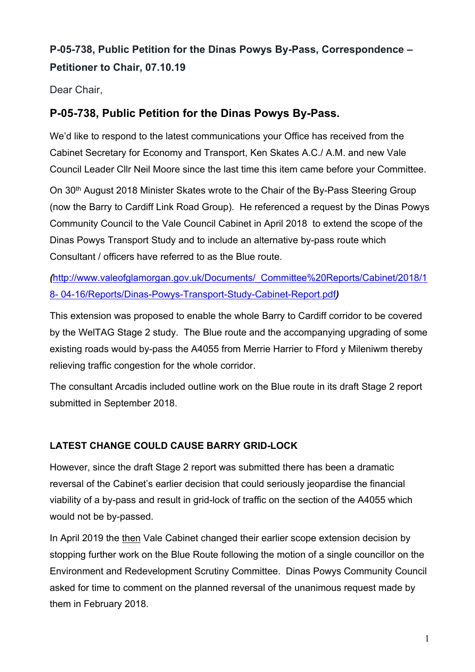# **P-05-738, Public Petition for the Dinas Powys By-Pass, Correspondence – Petitioner to Chair, 07.10.19**

Dear Chair,

## **P-05-738, Public Petition for the Dinas Powys By-Pass.**

We'd like to respond to the latest communications your Office has received from the Cabinet Secretary for Economy and Transport, Ken Skates A.C./ A.M. and new Vale Council Leader Cllr Neil Moore since the last time this item came before your Committee.

On 30<sup>th</sup> August 2018 Minister Skates wrote to the Chair of the By-Pass Steering Group (now the Barry to Cardiff Link Road Group). He referenced a request by the Dinas Powys Community Council to the Vale Council Cabinet in April 2018 to extend the scope of the Dinas Powys Transport Study and to include an alternative by-pass route which Consultant / officers have referred to as the Blue route.

*(*[http://www.valeofglamorgan.gov.uk/Documents/\\_Committee%20Reports/Cabinet/2018/1](http://www.valeofglamorgan.gov.uk/Documents/_Committee%20Reports/Cabinet/2018/18-%2004-16/Reports/Dinas-Powys-Transport-Study-Cabinet-Report.pdf) 8- [04-16/Reports/Dinas-Powys-Transport-Study-Cabinet-Report.pdf](http://www.valeofglamorgan.gov.uk/Documents/_Committee%20Reports/Cabinet/2018/18-%2004-16/Reports/Dinas-Powys-Transport-Study-Cabinet-Report.pdf)*)*

This extension was proposed to enable the whole Barry to Cardiff corridor to be covered by the WelTAG Stage 2 study. The Blue route and the accompanying upgrading of some existing roads would by-pass the A4055 from Merrie Harrier to Fford y Mileniwm thereby relieving traffic congestion for the whole corridor.

The consultant Arcadis included outline work on the Blue route in its draft Stage 2 report submitted in September 2018.

### **LATEST CHANGE COULD CAUSE BARRY GRID-LOCK**

However, since the draft Stage 2 report was submitted there has been a dramatic reversal of the Cabinet's earlier decision that could seriously jeopardise the financial viability of a by-pass and result in grid-lock of traffic on the section of the A4055 which would not be by-passed.

In April 2019 the then Vale Cabinet changed their earlier scope extension decision by stopping further work on the Blue Route following the motion of a single councillor on the Environment and Redevelopment Scrutiny Committee. Dinas Powys Community Council asked for time to comment on the planned reversal of the unanimous request made by them in February 2018.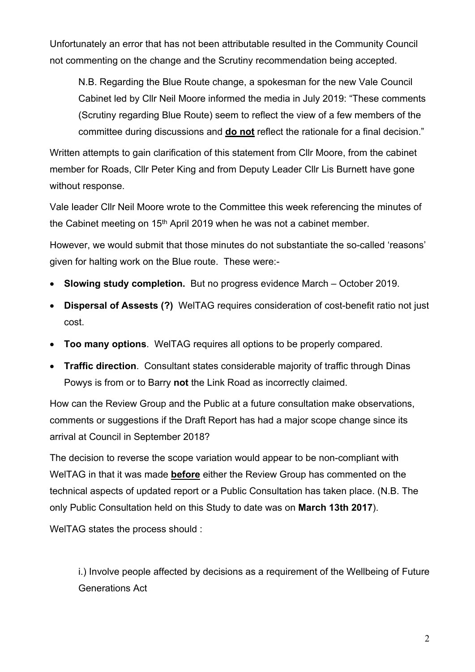Unfortunately an error that has not been attributable resulted in the Community Council not commenting on the change and the Scrutiny recommendation being accepted.

N.B. Regarding the Blue Route change, a spokesman for the new Vale Council Cabinet led by Cllr Neil Moore informed the media in July 2019: "These comments (Scrutiny regarding Blue Route) seem to reflect the view of a few members of the committee during discussions and **do not** reflect the rationale for a final decision."

Written attempts to gain clarification of this statement from Cllr Moore, from the cabinet member for Roads, Cllr Peter King and from Deputy Leader Cllr Lis Burnett have gone without response.

Vale leader Cllr Neil Moore wrote to the Committee this week referencing the minutes of the Cabinet meeting on 15<sup>th</sup> April 2019 when he was not a cabinet member.

However, we would submit that those minutes do not substantiate the so-called 'reasons' given for halting work on the Blue route. These were:-

- **Slowing study completion.** But no progress evidence March October 2019.
- **Dispersal of Assests (?)** WelTAG requires consideration of cost-benefit ratio not just cost.
- **Too many options**. WelTAG requires all options to be properly compared.
- **Traffic direction**. Consultant states considerable majority of traffic through Dinas Powys is from or to Barry **not** the Link Road as incorrectly claimed.

How can the Review Group and the Public at a future consultation make observations, comments or suggestions if the Draft Report has had a major scope change since its arrival at Council in September 2018?

The decision to reverse the scope variation would appear to be non-compliant with WelTAG in that it was made **before** either the Review Group has commented on the technical aspects of updated report or a Public Consultation has taken place. (N.B. The only Public Consultation held on this Study to date was on **March 13th 2017**).

WelTAG states the process should :

i.) Involve people affected by decisions as a requirement of the Wellbeing of Future Generations Act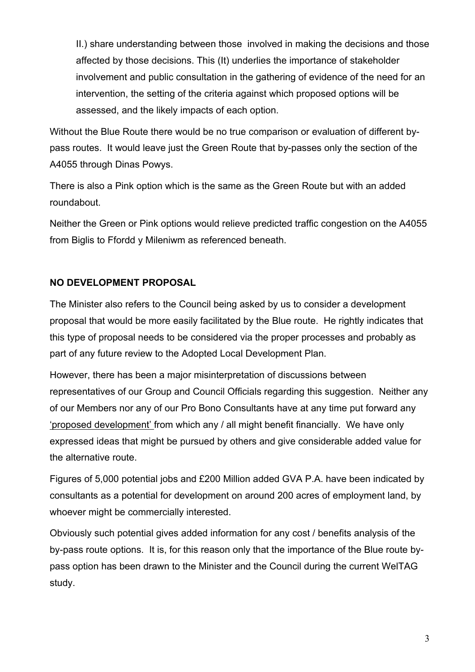II.) share understanding between those involved in making the decisions and those affected by those decisions. This (It) underlies the importance of stakeholder involvement and public consultation in the gathering of evidence of the need for an intervention, the setting of the criteria against which proposed options will be assessed, and the likely impacts of each option.

Without the Blue Route there would be no true comparison or evaluation of different bypass routes. It would leave just the Green Route that by-passes only the section of the A4055 through Dinas Powys.

There is also a Pink option which is the same as the Green Route but with an added roundabout.

Neither the Green or Pink options would relieve predicted traffic congestion on the A4055 from Biglis to Ffordd y Mileniwm as referenced beneath.

#### **NO DEVELOPMENT PROPOSAL**

The Minister also refers to the Council being asked by us to consider a development proposal that would be more easily facilitated by the Blue route. He rightly indicates that this type of proposal needs to be considered via the proper processes and probably as part of any future review to the Adopted Local Development Plan.

However, there has been a major misinterpretation of discussions between representatives of our Group and Council Officials regarding this suggestion. Neither any of our Members nor any of our Pro Bono Consultants have at any time put forward any 'proposed development' from which any / all might benefit financially. We have only expressed ideas that might be pursued by others and give considerable added value for the alternative route.

Figures of 5,000 potential jobs and £200 Million added GVA P.A. have been indicated by consultants as a potential for development on around 200 acres of employment land, by whoever might be commercially interested.

Obviously such potential gives added information for any cost / benefits analysis of the by-pass route options. It is, for this reason only that the importance of the Blue route bypass option has been drawn to the Minister and the Council during the current WelTAG study.